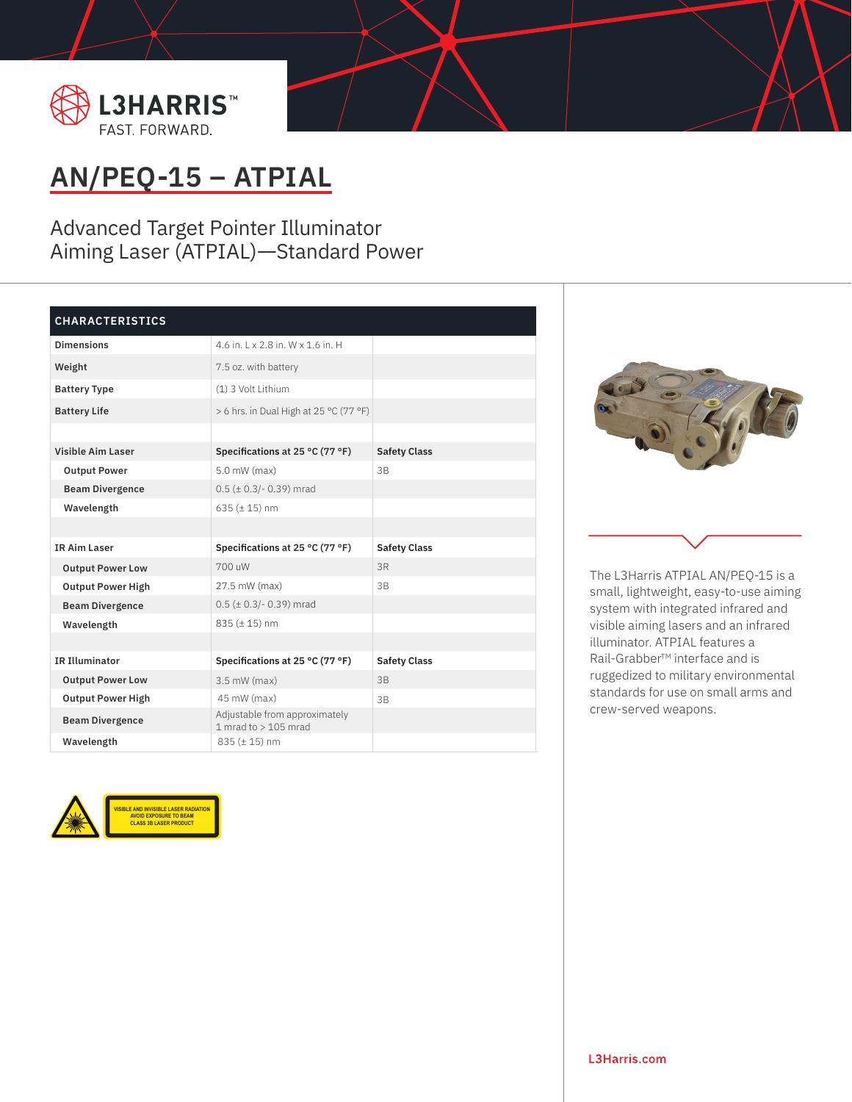

## **AN/PEQ-15 – ATPIAL**

Advanced Target Pointer Illuminator Aiming Laser (ATPIAL)—Standard Power

## **CHARACTERISTICS**

| <b>Dimensions</b>        | 4.6 in. 1 x 2.8 in. W x 1.6 in. H                       |                     |
|--------------------------|---------------------------------------------------------|---------------------|
| Weight                   | 7.5 oz. with battery                                    |                     |
| <b>Battery Type</b>      | (1) 3 Volt Lithium                                      |                     |
| <b>Battery Life</b>      | > 6 hrs. in Dual High at 25 °C (77 °F)                  |                     |
|                          |                                                         |                     |
| <b>Visible Aim Laser</b> | Specifications at 25 °C (77 °F)                         | <b>Safety Class</b> |
| <b>Output Power</b>      | 5.0 mW (max)                                            | 3B                  |
| <b>Beam Divergence</b>   | $0.5$ ( $\pm$ 0.3/- 0.39) mrad                          |                     |
| Wavelength               | $635 (\pm 15)$ nm                                       |                     |
|                          |                                                         |                     |
|                          |                                                         |                     |
| <b>IR Aim Laser</b>      | Specifications at 25 °C (77 °F)                         | <b>Safety Class</b> |
| <b>Output Power Low</b>  | 700 uW                                                  | 3R                  |
| <b>Output Power High</b> | 27.5 mW (max)                                           | 3B                  |
| <b>Beam Divergence</b>   | $0.5$ ( $\pm$ 0.3/- 0.39) mrad                          |                     |
| Wavelength               | 835 (± 15) nm                                           |                     |
|                          |                                                         |                     |
| <b>IR Illuminator</b>    | Specifications at 25 °C (77 °F)                         | <b>Safety Class</b> |
| <b>Output Power Low</b>  | $3.5$ mW (max)                                          | 3B                  |
| <b>Output Power High</b> | 45 mW (max)                                             | 3B                  |
| <b>Beam Divergence</b>   | Adjustable from approximately<br>1 mrad to $> 105$ mrad |                     |





The L3Harris ATPIAL AN/PEQ-15 is a small, lightweight, easy-to-use aiming system with integrated infrared and visible aiming lasers and an infrared illuminator. ATPIAL features a Rail-Grabber™ interface and is ruggedized to military environmental standards for use on small arms and crew-served weapons.